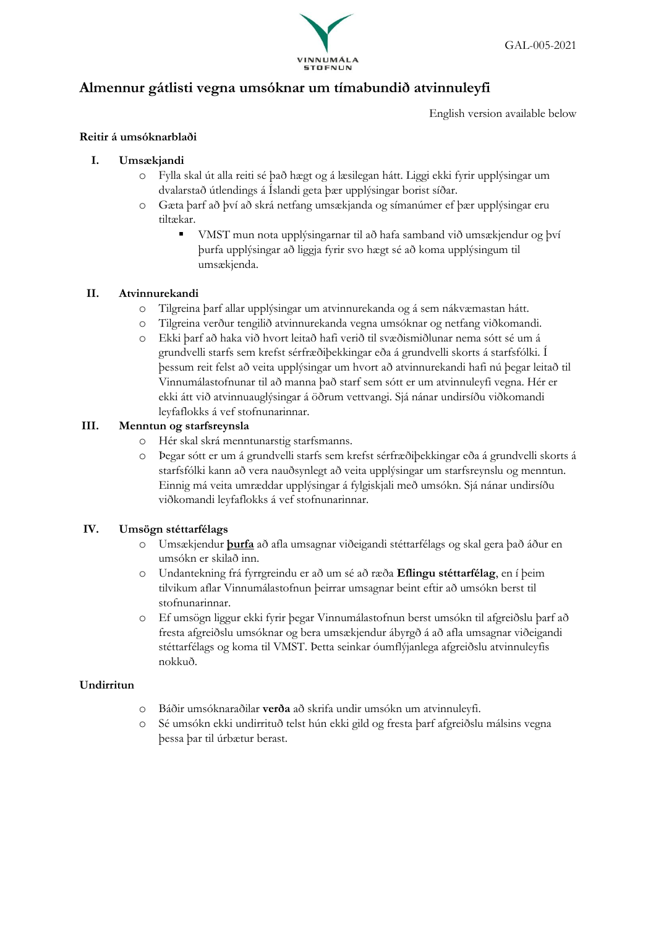

# **Almennur gátlisti vegna umsóknar um tímabundið atvinnuleyfi**

English version available below

# **Reitir á umsóknarblaði**

## **I. Umsækjandi**

- o Fylla skal út alla reiti sé það hægt og á læsilegan hátt. Liggi ekki fyrir upplýsingar um dvalarstað útlendings á Íslandi geta þær upplýsingar borist síðar.
- o Gæta þarf að því að skrá netfang umsækjanda og símanúmer ef þær upplýsingar eru tiltækar.
	- VMST mun nota upplýsingarnar til að hafa samband við umsækjendur og því þurfa upplýsingar að liggja fyrir svo hægt sé að koma upplýsingum til umsækjenda.

## **II. Atvinnurekandi**

- o Tilgreina þarf allar upplýsingar um atvinnurekanda og á sem nákvæmastan hátt.
- o Tilgreina verður tengilið atvinnurekanda vegna umsóknar og netfang viðkomandi.
- o Ekki þarf að haka við hvort leitað hafi verið til svæðismiðlunar nema sótt sé um á grundvelli starfs sem krefst sérfræðiþekkingar eða á grundvelli skorts á starfsfólki. Í þessum reit felst að veita upplýsingar um hvort að atvinnurekandi hafi nú þegar leitað til Vinnumálastofnunar til að manna það starf sem sótt er um atvinnuleyfi vegna. Hér er ekki átt við atvinnuauglýsingar á öðrum vettvangi. Sjá nánar undirsíðu viðkomandi leyfaflokks á vef stofnunarinnar.

## **III. Menntun og starfsreynsla**

- o Hér skal skrá menntunarstig starfsmanns.
- o Þegar sótt er um á grundvelli starfs sem krefst sérfræðiþekkingar eða á grundvelli skorts á starfsfólki kann að vera nauðsynlegt að veita upplýsingar um starfsreynslu og menntun. Einnig má veita umræddar upplýsingar á fylgiskjali með umsókn. Sjá nánar undirsíðu viðkomandi leyfaflokks á vef stofnunarinnar.

### **IV. Umsögn stéttarfélags**

- o Umsækjendur **þurfa** að afla umsagnar viðeigandi stéttarfélags og skal gera það áður en umsókn er skilað inn.
- o Undantekning frá fyrrgreindu er að um sé að ræða **Eflingu stéttarfélag**, en í þeim tilvikum aflar Vinnumálastofnun þeirrar umsagnar beint eftir að umsókn berst til stofnunarinnar.
- o Ef umsögn liggur ekki fyrir þegar Vinnumálastofnun berst umsókn til afgreiðslu þarf að fresta afgreiðslu umsóknar og bera umsækjendur ábyrgð á að afla umsagnar viðeigandi stéttarfélags og koma til VMST. Þetta seinkar óumflýjanlega afgreiðslu atvinnuleyfis nokkuð.

### **Undirritun**

- o Báðir umsóknaraðilar **verða** að skrifa undir umsókn um atvinnuleyfi.
- o Sé umsókn ekki undirrituð telst hún ekki gild og fresta þarf afgreiðslu málsins vegna þessa þar til úrbætur berast.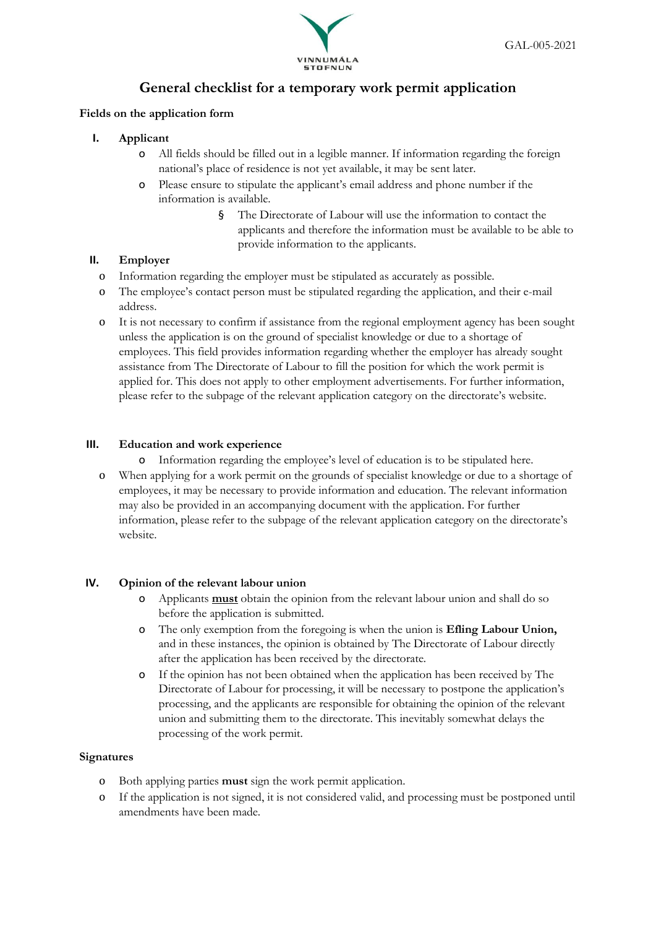

# **General checklist for a temporary work permit application**

### **Fields on the application form**

- **I. Applicant**
	- o All fields should be filled out in a legible manner. If information regarding the foreign national's place of residence is not yet available, it may be sent later.
	- o Please ensure to stipulate the applicant's email address and phone number if the information is available.
		- § The Directorate of Labour will use the information to contact the applicants and therefore the information must be available to be able to provide information to the applicants.

# **II. Employer**

- o Information regarding the employer must be stipulated as accurately as possible.
- o The employee's contact person must be stipulated regarding the application, and their e-mail address.
- o It is not necessary to confirm if assistance from the regional employment agency has been sought unless the application is on the ground of specialist knowledge or due to a shortage of employees. This field provides information regarding whether the employer has already sought assistance from The Directorate of Labour to fill the position for which the work permit is applied for. This does not apply to other employment advertisements. For further information, please refer to the subpage of the relevant application category on the directorate's website.

# **III. Education and work experience**

- o Information regarding the employee's level of education is to be stipulated here.
- o When applying for a work permit on the grounds of specialist knowledge or due to a shortage of employees, it may be necessary to provide information and education. The relevant information may also be provided in an accompanying document with the application. For further information, please refer to the subpage of the relevant application category on the directorate's website.

# **IV. Opinion of the relevant labour union**

- o Applicants **must** obtain the opinion from the relevant labour union and shall do so before the application is submitted.
- o The only exemption from the foregoing is when the union is **Efling Labour Union,**  and in these instances, the opinion is obtained by The Directorate of Labour directly after the application has been received by the directorate.
- o If the opinion has not been obtained when the application has been received by The Directorate of Labour for processing, it will be necessary to postpone the application's processing, and the applicants are responsible for obtaining the opinion of the relevant union and submitting them to the directorate. This inevitably somewhat delays the processing of the work permit.

### **Signatures**

- o Both applying parties **must** sign the work permit application.
- o If the application is not signed, it is not considered valid, and processing must be postponed until amendments have been made.